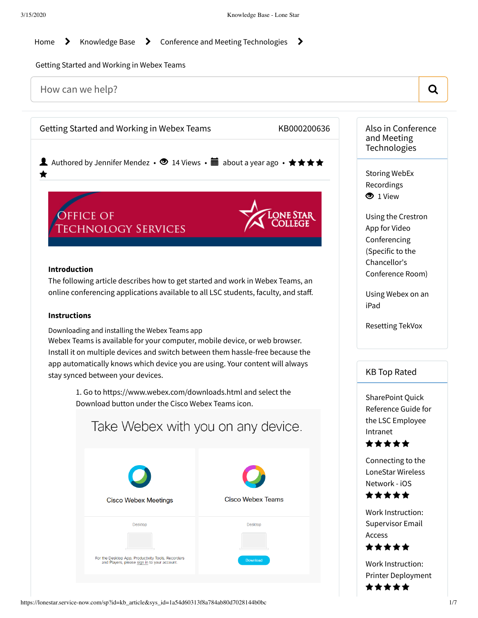[Home](https://lonestar.service-now.com/sp?id=index)  $\rightarrow$  [Knowledge](https://lonestar.service-now.com/sp?id=kb_view2) Base  $\rightarrow$  Conference and Meeting [Technologies](https://lonestar.service-now.com/sp?id=kb_category&kb_category=ee52d255dbc32240eee2b1c0ef9619e1&kb_id=0ba9529c1393ca00ead7d0322244b069)  $\rightarrow$ 

Getting Started and Working in Webex Teams

How can we help?  $\qquad \qquad \qquad$   $\qquad \qquad$   $\qquad \qquad$ Getting Started and Working in Webex Teams KB000200636 Also in Conference and Meeting **Technologies** ▲ Authored by Jennifer Mendez • ● 14 Views • ■ about a year ago • ★★★★ Storing WebEx ╈ [Recordings](https://lonestar.service-now.com/sp?id=kb_article&sys_id=c9c35b2cdb8af244eee2b1c0ef96198e)  $\bullet$  1 View **OFFICE OF** Using the Crestron **TECHNOLOGY SERVICES** App for Video [Conferencing](https://lonestar.service-now.com/sp?id=kb_article&sys_id=16238d4e13994b049ee9b6076144b0b2) (Specific to the Chancellor's **Introduction** Conference Room) The following article describes how to get started and work in Webex Teams, an online conferencing applications available to all LSC students, faculty, and staff. Using [Webex](https://lonestar.service-now.com/sp?id=kb_article&sys_id=4fb80a840a0a3d5b009aec58a806bcd6) on an iPad **Instructions** [Resetting](https://lonestar.service-now.com/sp?id=kb_article&sys_id=d383cd7813fc5b808796d2f18144b0ff) TekVox Downloading and installing the Webex Teams app Webex Teams is available for your computer, mobile device, or web browser. Install it on multiple devices and switch between them hassle-free because the app automatically knows which device you are using. Your content will always KB Top Rated stay synced between your devices. 1. Go to <https://www.webex.com/downloads.html> and select the [SharePoint](https://lonestar.service-now.com/sp?id=kb_article&sys_id=f61bde6613851744ab80d7028144b08a) Quick [Download](https://www.ciscospark.com/downloads.html) button under the Cisco Webex Teams icon[.](https://www.ciscospark.com/downloads.html) Reference Guide for the LSC Employee Take Webex with you on any device. Intranet \*\*\*\*\* [Connecting](https://lonestar.service-now.com/sp?id=kb_article&sys_id=f30caf3494ecb10045fac6d3b18c03a3) to the LoneStar Wireless Network - iOS \*\*\*\*\* **Cisco Webex Teams Cisco Webex Meetings** Work [Instruction:](https://lonestar.service-now.com/sp?id=kb_article&sys_id=dbd1255513064f409ee9b6076144b0f6) Supervisor Email Deskton Desktop Access \*\*\*\*\* For the Desktop App, Productivity Tools, Recorders<br>and Players, please sign in to your account. Work Instruction: Printer [Deployment](https://lonestar.service-now.com/sp?id=kb_article&sys_id=c529f191138a4f409ee9b6076144b015) ★★★★★ https://lonestar.service-now.com/sp?id=kb\_article&sys\_id=1a54d60313f8a784ab80d7028144b0bc 1/7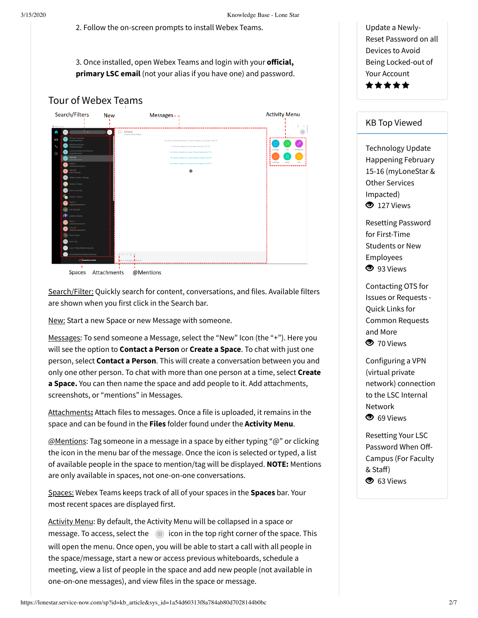2. Follow the on-screen prompts to install Webex Teams.

3. Once installed, open Webex Teams and login with your **official**, **primary LSC email** (not your alias if you have one) and password.





Search/Filter: Quickly search for content, conversations, and files. Available filters are shown when you first click in the Search bar.

New: Start a new Space or new Message with someone.

Messages: To send someone a Message, select the "New" Icon (the "+"). Here you will see the option to **Contact a Person** or **Create a Space**. To chat with just one person, select **Contact a Person**. This will create a conversation between you and only one other person. To chat with more than one person at a time, select **Create a Space.** You can then name the space and add people to it. Add attachments, screenshots, or "mentions" in Messages.

Attachments**:** Attach files to messages. Once a file is uploaded, it remains in the space and can be found in the **Files** folder found under the **Activity Menu**.

@Mentions: Tag someone in a message in a space by either typing "@" or clicking the icon in the menu bar of the message. Once the icon is selected or typed, a list of available people in the space to mention/tag will be displayed. **NOTE:** Mentions are only available in spaces, not one-on-one conversations.

Spaces: Webex Teams keeps track of all of your spaces in the **Spaces** bar. Your most recent spaces are displayed first.

Activity Menu: By default, the Activity Menu will be collapsed in a space or message. To access, select the  $\Box$  icon in the top right corner of the space. This will open the menu. Once open, you will be able to start a call with all people in the space/message, start a new or access previous whiteboards, schedule a meeting, view a list of people in the space and add new people (not available in one-on-one messages), and view files in the space or message.

Update a Newly-Reset Password on all Devices to Avoid Being [Locked-out](https://lonestar.service-now.com/sp?id=kb_article&sys_id=a7605794137857808796d2f18144b03f) of Your Account \*\*\*\*\*

## KB Top Viewed

Technology Update Happening February 15-16 [\(myLoneStar](https://lonestar.service-now.com/sp?id=kb_article&sys_id=451106b313aa4414ab80d7028144b07c) & Other Services Impacted) <sup>127</sup> Views

Resetting Password for First-Time Students or New [Employees](https://lonestar.service-now.com/sp?id=kb_article&sys_id=285f8dd6db1e6b04eee2b1c0ef961933) **3** 93 Views

[Contacting](https://lonestar.service-now.com/sp?id=kb_article&sys_id=7c4c689513b044908796d2f18144b057) OTS for Issues or Requests - Quick Links for Common Requests and More **3** 70 Views

[Configuring](https://lonestar.service-now.com/sp?id=kb_article&sys_id=0726622e131fca002415bd122244b03c) a VPN (virtual private network) connection to the LSC Internal Network <sup>O</sup> 69 Views

Resetting Your LSC [Password](https://lonestar.service-now.com/sp?id=kb_article&sys_id=e6e7d04f13f6a3409ee9b6076144b0eb) When Off-Campus (For Faculty & Staff) <sup>O</sup> 63 Views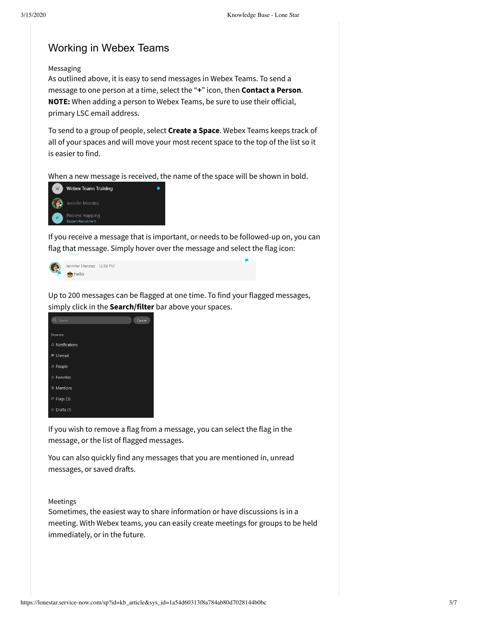## Working in Webex Teams

Messaging

As outlined above, it is easy to send messages in Webex Teams. To send a message to one person at a time, select the "**+**" icon, then **Contact a Person**. **NOTE:** When adding a person to Webex Teams, be sure to use their official, primary LSC email address.

To send to a group of people, select **Create a Space**. Webex Teams keeps track of all of your spaces and will move your most recent space to the top of the list so it is easier to find.

When a new message is received, the name of the space will be shown in bold.



If you receive a message that is important, or needs to be followed-up on, you can flag that message. Simply hover over the message and select the flag icon:

E



Up to 200 messages can be flagged at one time. To find your flagged messages, simply click in the **Search/filter** bar above your spaces.

| Q Search              | Cancel |
|-----------------------|--------|
| Show me               |        |
| 4 Notifications       |        |
| $=$ Unread            |        |
| <b>A</b> People       |        |
| * Favorites           |        |
| <sup>®</sup> Mentions |        |
| $F$ Flags (3)         |        |
| Drafts (1)            |        |

If you wish to remove a flag from a message, you can select the flag in the message, or the list of flagged messages.

You can also quickly find any messages that you are mentioned in, unread messages, or saved drafts.

## Meetings

Sometimes, the easiest way to share information or have discussions is in a meeting. With Webex teams, you can easily create meetings for groups to be held immediately, or in the future.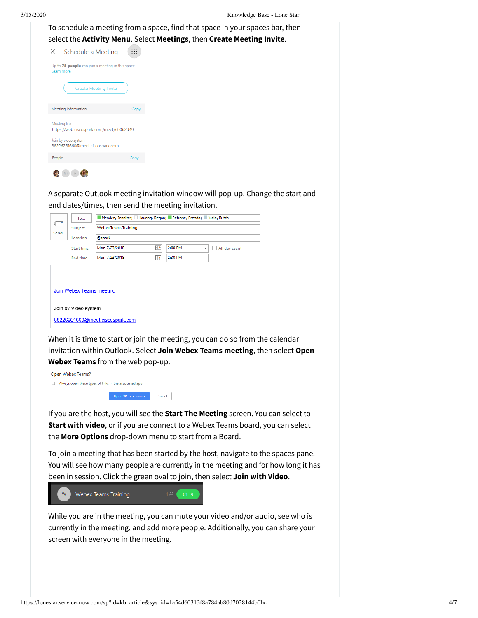| 3/15/2020 |                                                                  |      | Knowledge Base - Lone Star                                                                                                                             |
|-----------|------------------------------------------------------------------|------|--------------------------------------------------------------------------------------------------------------------------------------------------------|
|           |                                                                  |      | To schedule a meeting from a space, find that space in your spaces bar, then<br>select the Activity Menu. Select Meetings, then Create Meeting Invite. |
|           | Schedule a Meeting<br>$\times$                                   | ∷    |                                                                                                                                                        |
|           | Up to 75 people can join a meeting in this space.<br>Learn more. |      |                                                                                                                                                        |
|           | Create Meeting Invite                                            |      |                                                                                                                                                        |
|           | Meeting Information                                              | Copy |                                                                                                                                                        |
|           | Meeting link<br>https://web.ciscospark.com/meet/60062d49-        |      |                                                                                                                                                        |
|           | Join by video system<br>88226261660@meet.ciscospark.com          |      |                                                                                                                                                        |
|           | People                                                           | Copy |                                                                                                                                                        |
|           |                                                                  |      |                                                                                                                                                        |
|           | end dates/times, then send the meeting invitation.               |      | A separate Outlook meeting invitation window will pop-up. Change the start and                                                                         |

|                    | To                              | Mendez, Jennifer; Houang, Regan; Petrane, Brenda; Duelg, Butch |  |  |  |  |  |  |  |  |
|--------------------|---------------------------------|----------------------------------------------------------------|--|--|--|--|--|--|--|--|
| <b>i="</b><br>Send | Subject                         | <b>Webex Teams Training</b>                                    |  |  |  |  |  |  |  |  |
|                    | Location                        | @spark                                                         |  |  |  |  |  |  |  |  |
|                    | Start time                      | 2:00 PM<br>Mon 7/23/2018<br>Ha.<br>All day event<br>÷          |  |  |  |  |  |  |  |  |
|                    | <b>End time</b>                 | <u>p</u><br>2:30 PM<br>Mon 7/23/2018<br>٠                      |  |  |  |  |  |  |  |  |
|                    |                                 |                                                                |  |  |  |  |  |  |  |  |
|                    | <b>Join Webex Teams meeting</b> |                                                                |  |  |  |  |  |  |  |  |
|                    | Join by Video system            |                                                                |  |  |  |  |  |  |  |  |
|                    |                                 | 88226261660@meet.ciscospark.com                                |  |  |  |  |  |  |  |  |

When it is time to start or join the meeting, you can do so from the calendar invitation within Outlook. Select **Join Webex Teams meeting**, then select **Open Webex Teams** from the web pop-up.



If you are the host, you will see the **Start The Meeting** screen. You can select to **Start with video**, or if you are connect to a Webex Teams board, you can select the **More Options** drop-down menu to start from a Board.

To join a meeting that has been started by the host, navigate to the spaces pane. You will see how many people are currently in the meeting and for how long it has been in session. Click the green oval to join, then select **Join with Video**.



While you are in the meeting, you can mute your video and/or audio, see who is currently in the meeting, and add more people. Additionally, you can share your screen with everyone in the meeting.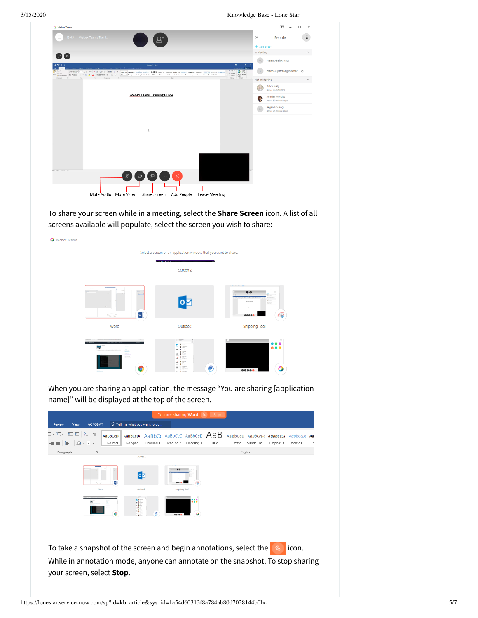3/15/2020 Knowledge Base - Lone Star



To share your screen while in a meeting, select the **Share Screen** icon. A list of all screens available will populate, select the screen you wish to share:



When you are sharing an application, the message "You are sharing [application name]" will be displayed at the top of the screen.

|                                                                                        |                 |                                      |   | You are sharing Word 2                                                |           | Stop  |          |           |                 |           |     |
|----------------------------------------------------------------------------------------|-----------------|--------------------------------------|---|-----------------------------------------------------------------------|-----------|-------|----------|-----------|-----------------|-----------|-----|
| <b>ACROBAT</b><br>View<br>Review                                                       |                 | $\Omega$ Tell me what you want to do |   |                                                                       |           |       |          |           |                 |           |     |
| ・記・  理理  鉄  ¶                                                                          |                 |                                      |   | $A$ aBbCcDt $A$ aBbCcDt $A$ a $B$ bCt $A$ aBbCc $E$ AaBbCc $D$ $A$ aB |           |       | AaBbCcC  | AaBbCcDt  | <b>AaBbCcDc</b> | AaBbCcDu  | Aal |
| $\equiv$ $\equiv$ $\left  \frac{1}{27} \times \right $ $\Delta$ $\sim$ $\equiv$ $\sim$ | <b>T</b> Normal | 1 No Spac Heading 1                  |   | Heading 2                                                             | Heading 3 | Title | Subtitle | Subtle Em | Emphasis        | Intense E | S   |
| Paragraph<br>$\Gamma_{24}^-$                                                           |                 |                                      |   |                                                                       |           |       |          | Styles    |                 |           |     |
|                                                                                        |                 | Screen 2                             |   |                                                                       |           |       |          |           |                 |           |     |
|                                                                                        |                 |                                      |   |                                                                       |           |       |          |           |                 |           |     |
|                                                                                        |                 | $\bullet$                            |   |                                                                       |           |       |          |           |                 |           |     |
| Word                                                                                   | $\overline{w}$  | Outlook                              |   | Snipping Tool                                                         |           |       |          |           |                 |           |     |
|                                                                                        |                 |                                      |   |                                                                       |           |       |          |           |                 |           |     |
|                                                                                        |                 | Ï.                                   |   |                                                                       |           |       |          |           |                 |           |     |
|                                                                                        |                 |                                      | G |                                                                       |           |       |          |           |                 |           |     |
|                                                                                        |                 |                                      |   | 00000                                                                 |           |       |          |           |                 |           |     |
|                                                                                        |                 |                                      |   |                                                                       |           |       |          |           |                 |           |     |
|                                                                                        |                 |                                      |   |                                                                       |           |       |          |           |                 |           |     |
|                                                                                        |                 |                                      |   |                                                                       |           |       |          |           |                 |           |     |
| To take a snapshot of the screen and begin annotations, select the                     |                 |                                      |   |                                                                       |           |       |          |           |                 | icon.     |     |
| While in annotation mode, anyone can annotate on the snapshot. To stop sharing         |                 |                                      |   |                                                                       |           |       |          |           |                 |           |     |
|                                                                                        |                 |                                      |   |                                                                       |           |       |          |           |                 |           |     |
| your screen, select Stop.                                                              |                 |                                      |   |                                                                       |           |       |          |           |                 |           |     |
|                                                                                        |                 |                                      |   |                                                                       |           |       |          |           |                 |           |     |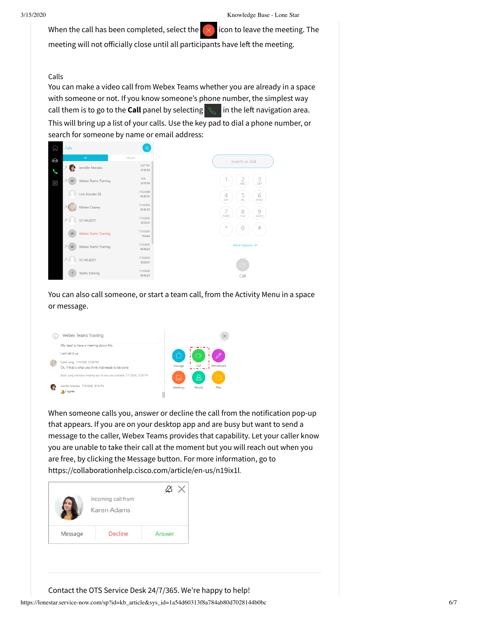When the call has been completed, select the  $\lfloor x \rfloor$  icon to leave the meeting. The

meeting will not officially close until all participants have left the meeting.

## Calls

You can make a video call from Webex Teams whether you are already in a space with someone or not. If you know someone's phone number, the simplest way call them is to go to the **Call** panel by selecting  $\mathbb{R}$  in the left navigation area. This will bring up a list of your calls. Use the key pad to dial a phone number, or search for someone by name or email address:



You can also call someone, or start a team call, from the Activity Menu in a space or message.



When someone calls you, answer or decline the call from the notification pop-up that appears. If you are on your desktop app and are busy but want to send a message to the caller, Webex Teams provides that capability. Let your caller know you are unable to take their call at the moment but you will reach out when you are free, by clicking the Message button. For more information, go to <https://collaborationhelp.cisco.com/article/en-us/n19ix1l>.



Contact the OTS Service Desk 24/7/365. We're happy to help!

https://lonestar.service-now.com/sp?id=kb\_article&sys\_id=1a54d60313f8a784ab80d7028144b0bc 6/7